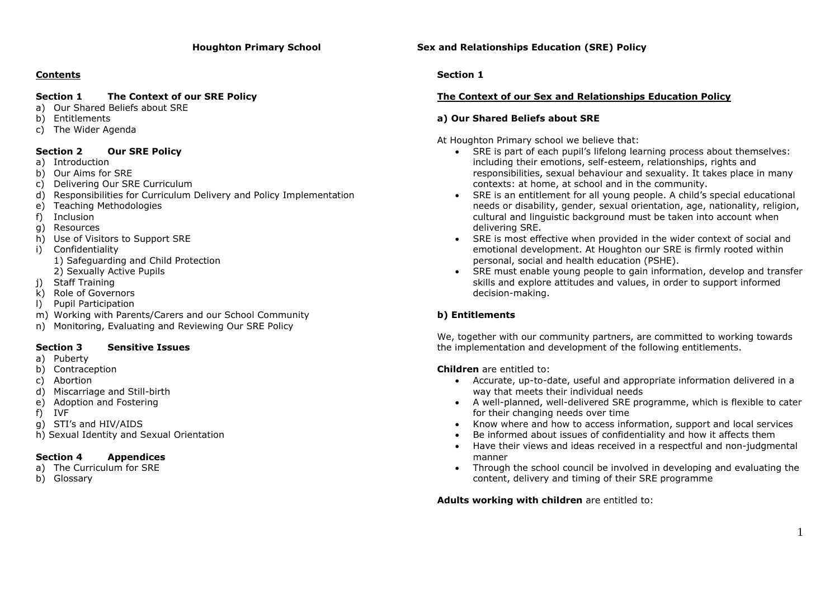# **Contents**

# **Section 1 The Context of our SRE Policy**

- a) Our Shared Beliefs about SRE
- b) Entitlements
- c) The Wider Agenda

# **Section 2 Our SRE Policy**

- a) Introduction
- b) Our Aims for SRE
- c) Delivering Our SRE Curriculum
- d) Responsibilities for Curriculum Delivery and Policy Implementation
- e) Teaching Methodologies
- f) Inclusion
- g) Resources
- h) Use of Visitors to Support SRE
- i) Confidentiality 1) Safeguarding and Child Protection 2) Sexually Active Pupils
- j) Staff Training
- k) Role of Governors
- l) Pupil Participation
- m) Working with Parents/Carers and our School Community
- n) Monitoring, Evaluating and Reviewing Our SRE Policy

# **Section 3 Sensitive Issues**

- a) Puberty
- b) Contraception
- c) Abortion
- d) Miscarriage and Still-birth
- e) Adoption and Fostering
- f) IVF
- g) STI's and HIV/AIDS
- h) Sexual Identity and Sexual Orientation

# **Section 4 Appendices**

- a) The Curriculum for SRE
- b) Glossary

**Houghton Primary School Sex and Relationships Education (SRE) Policy**

# **Section 1**

# **The Context of our Sex and Relationships Education Policy**

# **a) Our Shared Beliefs about SRE**

At Houghton Primary school we believe that:

- SRE is part of each pupil's lifelong learning process about themselves: including their emotions, self-esteem, relationships, rights and responsibilities, sexual behaviour and sexuality. It takes place in many contexts: at home, at school and in the community.
- SRE is an entitlement for all young people. A child's special educational needs or disability, gender, sexual orientation, age, nationality, religion, cultural and linguistic background must be taken into account when delivering SRE.
- SRE is most effective when provided in the wider context of social and emotional development. At Houghton our SRE is firmly rooted within personal, social and health education (PSHE).
- SRE must enable young people to gain information, develop and transfer skills and explore attitudes and values, in order to support informed decision-making.

# **b) Entitlements**

We, together with our community partners, are committed to working towards the implementation and development of the following entitlements.

**Children** are entitled to:

- Accurate, up-to-date, useful and appropriate information delivered in a way that meets their individual needs
- A well-planned, well-delivered SRE programme, which is flexible to cater for their changing needs over time
- Know where and how to access information, support and local services
- Be informed about issues of confidentiality and how it affects them
- Have their views and ideas received in a respectful and non-judgmental manner
- Through the school council be involved in developing and evaluating the content, delivery and timing of their SRE programme

**Adults working with children** are entitled to: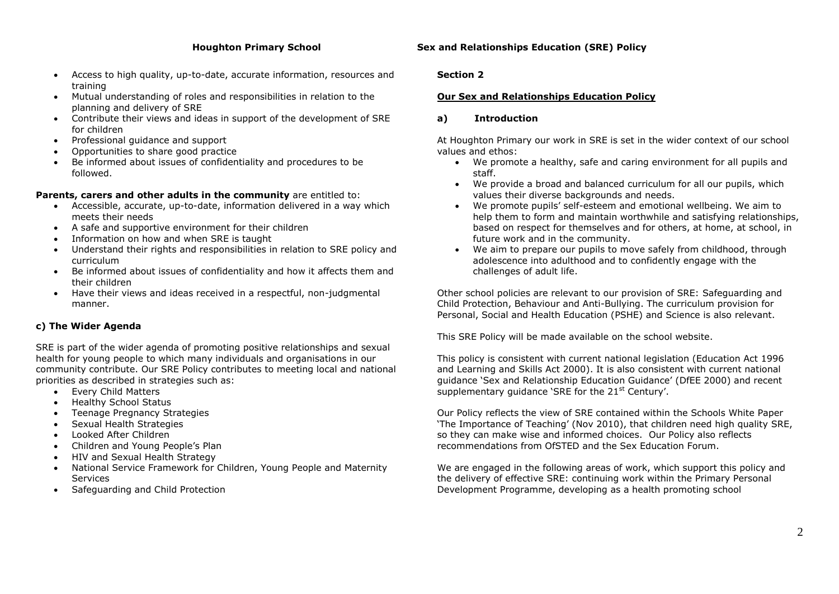- Access to high quality, up-to-date, accurate information, resources and training
- Mutual understanding of roles and responsibilities in relation to the planning and delivery of SRE
- Contribute their views and ideas in support of the development of SRE for children
- Professional guidance and support
- Opportunities to share good practice
- Be informed about issues of confidentiality and procedures to be followed.

#### **Parents, carers and other adults in the community** are entitled to:

- Accessible, accurate, up-to-date, information delivered in a way which meets their needs
- A safe and supportive environment for their children
- Information on how and when SRE is taught
- Understand their rights and responsibilities in relation to SRE policy and curriculum
- Be informed about issues of confidentiality and how it affects them and their children
- Have their views and ideas received in a respectful, non-judgmental manner.

# **c) The Wider Agenda**

SRE is part of the wider agenda of promoting positive relationships and sexual health for young people to which many individuals and organisations in our community contribute. Our SRE Policy contributes to meeting local and national priorities as described in strategies such as:

- Every Child Matters
- Healthy School Status
- Teenage Pregnancy Strategies
- Sexual Health Strategies
- Looked After Children
- Children and Young People's Plan
- HIV and Sexual Health Strategy
- National Service Framework for Children, Young People and Maternity Services
- Safeguarding and Child Protection

# **Houghton Primary School Sex and Relationships Education (SRE) Policy**

#### **Section 2**

# **Our Sex and Relationships Education Policy**

# **a) Introduction**

At Houghton Primary our work in SRE is set in the wider context of our school values and ethos:

- We promote a healthy, safe and caring environment for all pupils and staff.
- We provide a broad and balanced curriculum for all our pupils, which values their diverse backgrounds and needs.
- We promote pupils' self-esteem and emotional wellbeing. We aim to help them to form and maintain worthwhile and satisfying relationships, based on respect for themselves and for others, at home, at school, in future work and in the community.
- We aim to prepare our pupils to move safely from childhood, through adolescence into adulthood and to confidently engage with the challenges of adult life.

Other school policies are relevant to our provision of SRE: Safeguarding and Child Protection, Behaviour and Anti-Bullying. The curriculum provision for Personal, Social and Health Education (PSHE) and Science is also relevant.

This SRE Policy will be made available on the school website.

This policy is consistent with current national legislation (Education Act 1996 and Learning and Skills Act 2000). It is also consistent with current national guidance 'Sex and Relationship Education Guidance' (DfEE 2000) and recent supplementary quidance 'SRE for the 21<sup>st</sup> Century'.

Our Policy reflects the view of SRE contained within the Schools White Paper 'The Importance of Teaching' (Nov 2010), that children need high quality SRE, so they can make wise and informed choices. Our Policy also reflects recommendations from OfSTED and the Sex Education Forum.

We are engaged in the following areas of work, which support this policy and the delivery of effective SRE: continuing work within the Primary Personal Development Programme, developing as a health promoting school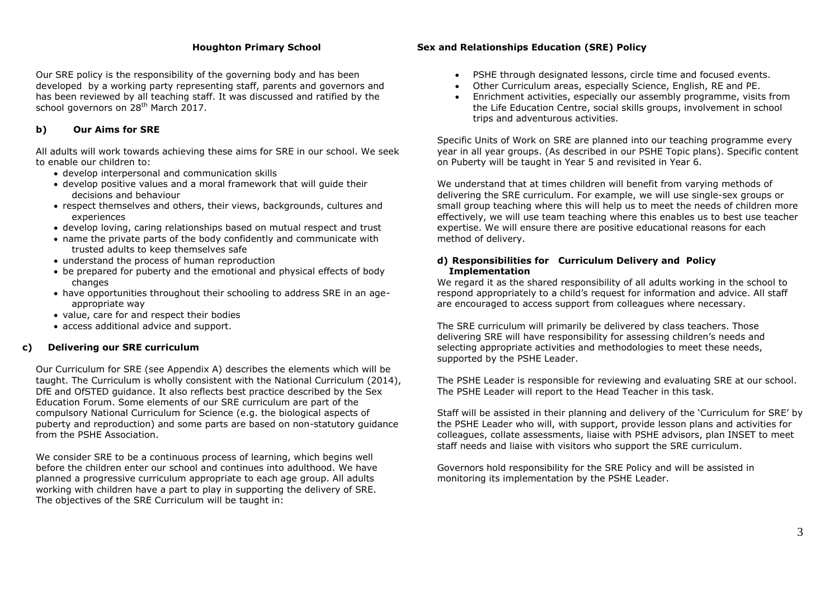Our SRE policy is the responsibility of the governing body and has been developed by a working party representing staff, parents and governors and has been reviewed by all teaching staff. It was discussed and ratified by the school governors on 28<sup>th</sup> March 2017.

#### **b) Our Aims for SRE**

All adults will work towards achieving these aims for SRE in our school. We seek to enable our children to:

- develop interpersonal and communication skills
- develop positive values and a moral framework that will guide their decisions and behaviour
- respect themselves and others, their views, backgrounds, cultures and experiences
- develop loving, caring relationships based on mutual respect and trust
- name the private parts of the body confidently and communicate with trusted adults to keep themselves safe
- understand the process of human reproduction
- be prepared for puberty and the emotional and physical effects of body changes
- have opportunities throughout their schooling to address SRE in an ageappropriate way
- value, care for and respect their bodies
- access additional advice and support.

#### **c) Delivering our SRE curriculum**

Our Curriculum for SRE (see Appendix A) describes the elements which will be taught. The Curriculum is wholly consistent with the National Curriculum (2014), DfE and OfSTED guidance. It also reflects best practice described by the Sex Education Forum. Some elements of our SRE curriculum are part of the compulsory National Curriculum for Science (e.g. the biological aspects of puberty and reproduction) and some parts are based on non-statutory guidance from the PSHE Association.

We consider SRE to be a continuous process of learning, which begins well before the children enter our school and continues into adulthood. We have planned a progressive curriculum appropriate to each age group. All adults working with children have a part to play in supporting the delivery of SRE. The objectives of the SRE Curriculum will be taught in:

#### **Houghton Primary School Sex and Relationships Education (SRE) Policy**

- PSHE through designated lessons, circle time and focused events.
- Other Curriculum areas, especially Science, English, RE and PE.
- Enrichment activities, especially our assembly programme, visits from the Life Education Centre, social skills groups, involvement in school trips and adventurous activities.

Specific Units of Work on SRE are planned into our teaching programme every year in all year groups. (As described in our PSHE Topic plans). Specific content on Puberty will be taught in Year 5 and revisited in Year 6.

We understand that at times children will benefit from varying methods of delivering the SRE curriculum. For example, we will use single-sex groups or small group teaching where this will help us to meet the needs of children more effectively, we will use team teaching where this enables us to best use teacher expertise. We will ensure there are positive educational reasons for each method of delivery.

#### **d) Responsibilities for Curriculum Delivery and Policy Implementation**

We regard it as the shared responsibility of all adults working in the school to respond appropriately to a child's request for information and advice. All staff are encouraged to access support from colleagues where necessary.

The SRE curriculum will primarily be delivered by class teachers. Those delivering SRE will have responsibility for assessing children's needs and selecting appropriate activities and methodologies to meet these needs, supported by the PSHE Leader.

The PSHE Leader is responsible for reviewing and evaluating SRE at our school. The PSHE Leader will report to the Head Teacher in this task.

Staff will be assisted in their planning and delivery of the 'Curriculum for SRE' by the PSHE Leader who will, with support, provide lesson plans and activities for colleagues, collate assessments, liaise with PSHE advisors, plan INSET to meet staff needs and liaise with visitors who support the SRE curriculum.

Governors hold responsibility for the SRE Policy and will be assisted in monitoring its implementation by the PSHE Leader.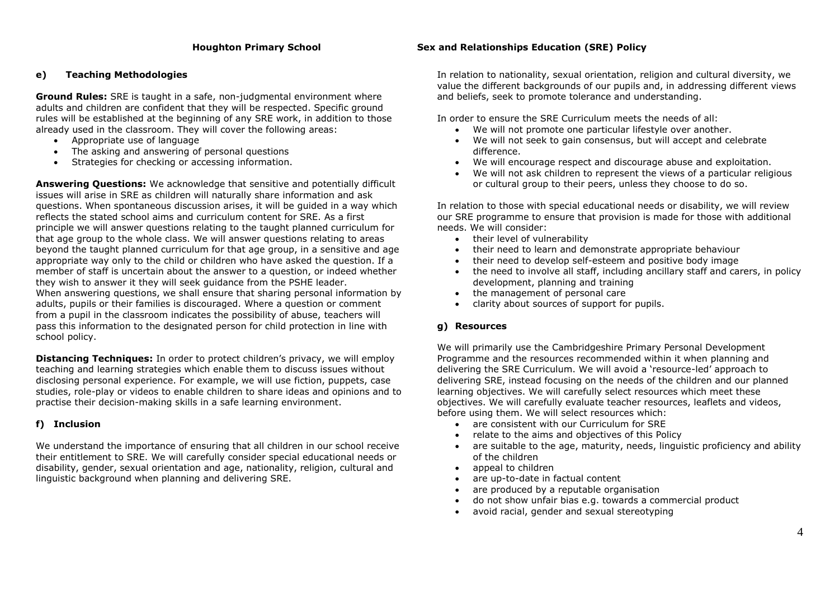### **e) Teaching Methodologies**

**Ground Rules:** SRE is taught in a safe, non-judgmental environment where adults and children are confident that they will be respected. Specific ground rules will be established at the beginning of any SRE work, in addition to those already used in the classroom. They will cover the following areas:

- Appropriate use of language
- The asking and answering of personal questions
- Strategies for checking or accessing information.

**Answering Questions:** We acknowledge that sensitive and potentially difficult issues will arise in SRE as children will naturally share information and ask questions. When spontaneous discussion arises, it will be guided in a way which reflects the stated school aims and curriculum content for SRE. As a first principle we will answer questions relating to the taught planned curriculum for that age group to the whole class. We will answer questions relating to areas beyond the taught planned curriculum for that age group, in a sensitive and age appropriate way only to the child or children who have asked the question. If a member of staff is uncertain about the answer to a question, or indeed whether they wish to answer it they will seek guidance from the PSHE leader. When answering questions, we shall ensure that sharing personal information by adults, pupils or their families is discouraged. Where a question or comment from a pupil in the classroom indicates the possibility of abuse, teachers will pass this information to the designated person for child protection in line with school policy.

**Distancing Techniques:** In order to protect children's privacy, we will employ teaching and learning strategies which enable them to discuss issues without disclosing personal experience. For example, we will use fiction, puppets, case studies, role-play or videos to enable children to share ideas and opinions and to practise their decision-making skills in a safe learning environment.

# **f) Inclusion**

We understand the importance of ensuring that all children in our school receive their entitlement to SRE. We will carefully consider special educational needs or disability, gender, sexual orientation and age, nationality, religion, cultural and linguistic background when planning and delivering SRE.

### **Houghton Primary School Sex and Relationships Education (SRE) Policy**

In relation to nationality, sexual orientation, religion and cultural diversity, we value the different backgrounds of our pupils and, in addressing different views and beliefs, seek to promote tolerance and understanding.

In order to ensure the SRE Curriculum meets the needs of all:

- We will not promote one particular lifestyle over another.
- We will not seek to gain consensus, but will accept and celebrate difference.
- We will encourage respect and discourage abuse and exploitation.
- We will not ask children to represent the views of a particular religious or cultural group to their peers, unless they choose to do so.

In relation to those with special educational needs or disability, we will review our SRE programme to ensure that provision is made for those with additional needs. We will consider:

- their level of vulnerability
- their need to learn and demonstrate appropriate behaviour
- their need to develop self-esteem and positive body image
- the need to involve all staff, including ancillary staff and carers, in policy development, planning and training
- the management of personal care
- clarity about sources of support for pupils.

# **g) Resources**

We will primarily use the Cambridgeshire Primary Personal Development Programme and the resources recommended within it when planning and delivering the SRE Curriculum. We will avoid a 'resource-led' approach to delivering SRE, instead focusing on the needs of the children and our planned learning objectives. We will carefully select resources which meet these objectives. We will carefully evaluate teacher resources, leaflets and videos, before using them. We will select resources which:

- are consistent with our Curriculum for SRE
- relate to the aims and objectives of this Policy
- are suitable to the age, maturity, needs, linguistic proficiency and ability of the children
- appeal to children
- are up-to-date in factual content
- are produced by a reputable organisation
- do not show unfair bias e.g. towards a commercial product
- avoid racial, gender and sexual stereotyping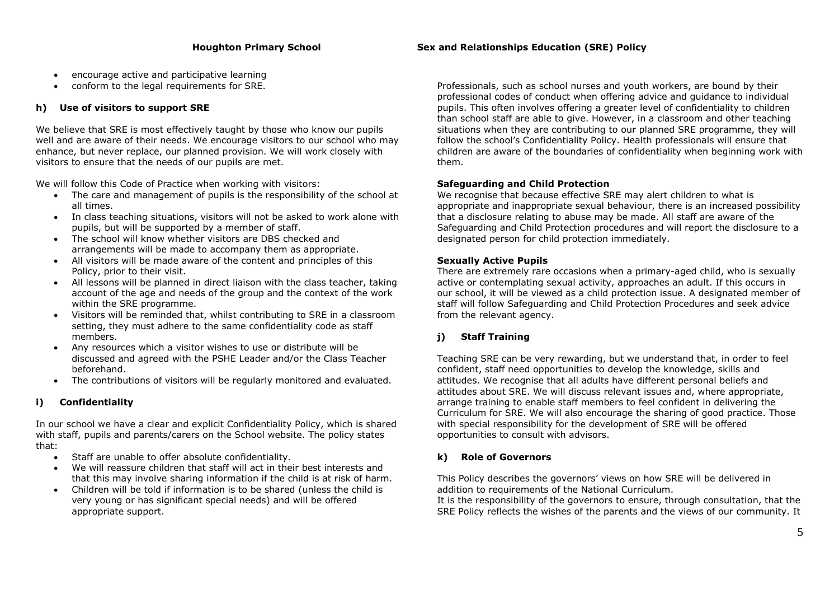- encourage active and participative learning
- conform to the legal requirements for SRE.

# **h) Use of visitors to support SRE**

We believe that SRE is most effectively taught by those who know our pupils well and are aware of their needs. We encourage visitors to our school who may enhance, but never replace, our planned provision. We will work closely with visitors to ensure that the needs of our pupils are met.

We will follow this Code of Practice when working with visitors:

- The care and management of pupils is the responsibility of the school at all times.
- In class teaching situations, visitors will not be asked to work alone with pupils, but will be supported by a member of staff.
- The school will know whether visitors are DBS checked and arrangements will be made to accompany them as appropriate.
- All visitors will be made aware of the content and principles of this Policy, prior to their visit.
- All lessons will be planned in direct liaison with the class teacher, taking account of the age and needs of the group and the context of the work within the SRE programme.
- Visitors will be reminded that, whilst contributing to SRE in a classroom setting, they must adhere to the same confidentiality code as staff members.
- Any resources which a visitor wishes to use or distribute will be discussed and agreed with the PSHE Leader and/or the Class Teacher beforehand.
- The contributions of visitors will be regularly monitored and evaluated.

# **i) Confidentiality**

In our school we have a clear and explicit Confidentiality Policy, which is shared with staff, pupils and parents/carers on the School website. The policy states that:

- Staff are unable to offer absolute confidentiality.
- We will reassure children that staff will act in their best interests and that this may involve sharing information if the child is at risk of harm.
- Children will be told if information is to be shared (unless the child is very young or has significant special needs) and will be offered appropriate support.

Professionals, such as school nurses and youth workers, are bound by their professional codes of conduct when offering advice and guidance to individual pupils. This often involves offering a greater level of confidentiality to children than school staff are able to give. However, in a classroom and other teaching situations when they are contributing to our planned SRE programme, they will follow the school's Confidentiality Policy. Health professionals will ensure that children are aware of the boundaries of confidentiality when beginning work with them.

# **Safeguarding and Child Protection**

We recognise that because effective SRE may alert children to what is appropriate and inappropriate sexual behaviour, there is an increased possibility that a disclosure relating to abuse may be made. All staff are aware of the Safeguarding and Child Protection procedures and will report the disclosure to a designated person for child protection immediately.

# **Sexually Active Pupils**

There are extremely rare occasions when a primary-aged child, who is sexually active or contemplating sexual activity, approaches an adult. If this occurs in our school, it will be viewed as a child protection issue. A designated member of staff will follow Safeguarding and Child Protection Procedures and seek advice from the relevant agency.

# **j) Staff Training**

Teaching SRE can be very rewarding, but we understand that, in order to feel confident, staff need opportunities to develop the knowledge, skills and attitudes. We recognise that all adults have different personal beliefs and attitudes about SRE. We will discuss relevant issues and, where appropriate, arrange training to enable staff members to feel confident in delivering the Curriculum for SRE. We will also encourage the sharing of good practice. Those with special responsibility for the development of SRE will be offered opportunities to consult with advisors.

# **k) Role of Governors**

This Policy describes the governors' views on how SRE will be delivered in addition to requirements of the National Curriculum.

It is the responsibility of the governors to ensure, through consultation, that the SRE Policy reflects the wishes of the parents and the views of our community. It

# **Houghton Primary School Sex and Relationships Education (SRE) Policy**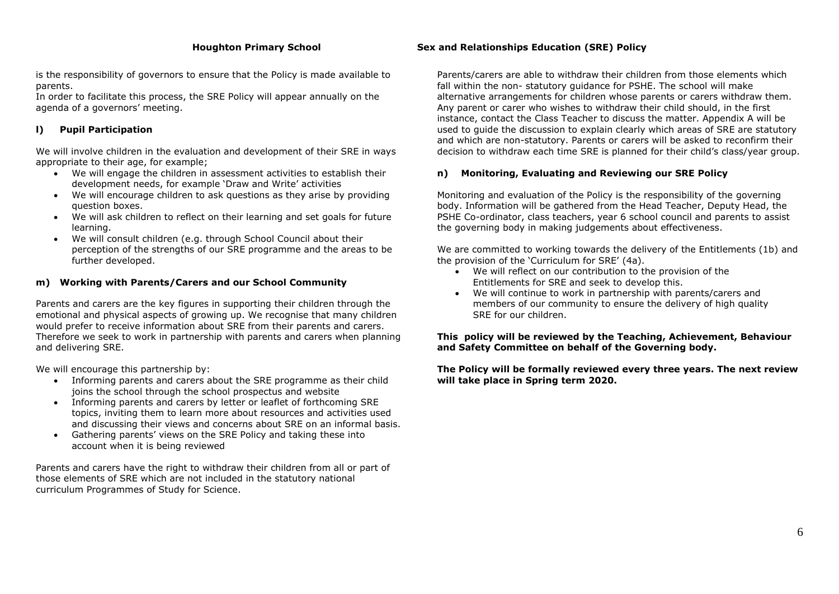is the responsibility of governors to ensure that the Policy is made available to parents.

In order to facilitate this process, the SRE Policy will appear annually on the agenda of a governors' meeting.

# **l) Pupil Participation**

We will involve children in the evaluation and development of their SRE in ways appropriate to their age, for example;

- We will engage the children in assessment activities to establish their development needs, for example 'Draw and Write' activities
- We will encourage children to ask questions as they arise by providing question boxes.
- We will ask children to reflect on their learning and set goals for future learning.
- We will consult children (e.g. through School Council about their perception of the strengths of our SRE programme and the areas to be further developed.

#### **m) Working with Parents/Carers and our School Community**

Parents and carers are the key figures in supporting their children through the emotional and physical aspects of growing up. We recognise that many children would prefer to receive information about SRE from their parents and carers. Therefore we seek to work in partnership with parents and carers when planning and delivering SRE.

We will encourage this partnership by:

- Informing parents and carers about the SRE programme as their child joins the school through the school prospectus and website
- Informing parents and carers by letter or leaflet of forthcoming SRE topics, inviting them to learn more about resources and activities used and discussing their views and concerns about SRE on an informal basis.
- Gathering parents' views on the SRE Policy and taking these into account when it is being reviewed

Parents and carers have the right to withdraw their children from all or part of those elements of SRE which are not included in the statutory national curriculum Programmes of Study for Science.

# **Houghton Primary School Sex and Relationships Education (SRE) Policy**

Parents/carers are able to withdraw their children from those elements which fall within the non- statutory guidance for PSHE. The school will make alternative arrangements for children whose parents or carers withdraw them. Any parent or carer who wishes to withdraw their child should, in the first instance, contact the Class Teacher to discuss the matter. Appendix A will be used to guide the discussion to explain clearly which areas of SRE are statutory and which are non-statutory. Parents or carers will be asked to reconfirm their decision to withdraw each time SRE is planned for their child's class/year group.

# **n) Monitoring, Evaluating and Reviewing our SRE Policy**

Monitoring and evaluation of the Policy is the responsibility of the governing body. Information will be gathered from the Head Teacher, Deputy Head, the PSHE Co-ordinator, class teachers, year 6 school council and parents to assist the governing body in making judgements about effectiveness.

We are committed to working towards the delivery of the Entitlements (1b) and the provision of the 'Curriculum for SRE' (4a).

- We will reflect on our contribution to the provision of the Entitlements for SRE and seek to develop this.
- We will continue to work in partnership with parents/carers and members of our community to ensure the delivery of high quality SRE for our children.

#### **This policy will be reviewed by the Teaching, Achievement, Behaviour and Safety Committee on behalf of the Governing body.**

**The Policy will be formally reviewed every three years. The next review will take place in Spring term 2020.**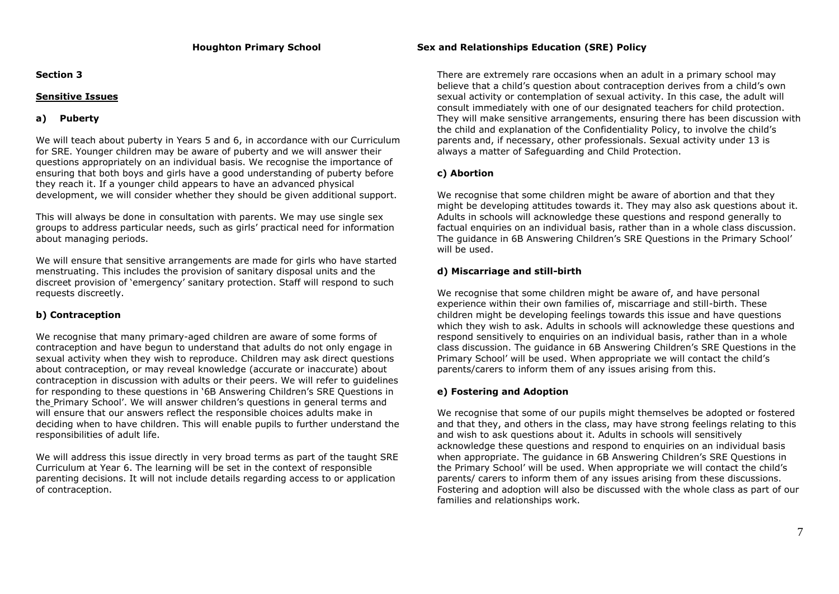#### **Section 3**

#### **Sensitive Issues**

# **a) Puberty**

We will teach about puberty in Years 5 and 6, in accordance with our Curriculum for SRE. Younger children may be aware of puberty and we will answer their questions appropriately on an individual basis. We recognise the importance of ensuring that both boys and girls have a good understanding of puberty before they reach it. If a younger child appears to have an advanced physical development, we will consider whether they should be given additional support.

This will always be done in consultation with parents. We may use single sex groups to address particular needs, such as girls' practical need for information about managing periods.

We will ensure that sensitive arrangements are made for girls who have started menstruating. This includes the provision of sanitary disposal units and the discreet provision of 'emergency' sanitary protection. Staff will respond to such requests discreetly.

# **b) Contraception**

We recognise that many primary-aged children are aware of some forms of contraception and have begun to understand that adults do not only engage in sexual activity when they wish to reproduce. Children may ask direct questions about contraception, or may reveal knowledge (accurate or inaccurate) about contraception in discussion with adults or their peers. We will refer to guidelines for responding to these questions in ['6B Answering Children's SRE Questions in](http://www.cambridgeshirepshe.org.uk/SRE/6BAnsweringSREQuestionsPrimary.pdf)  the [Primary School'.](http://www.cambridgeshirepshe.org.uk/SRE/6BAnsweringSREQuestionsPrimary.pdf) We will answer children's questions in general terms and will ensure that our answers reflect the responsible choices adults make in deciding when to have children. This will enable pupils to further understand the responsibilities of adult life.

We will address this issue directly in very broad terms as part of the taught SRE Curriculum at Year 6. The learning will be set in the context of responsible parenting decisions. It will not include details regarding access to or application of contraception.

### **Houghton Primary School Sex and Relationships Education (SRE) Policy**

There are extremely rare occasions when an adult in a primary school may believe that a child's question about contraception derives from a child's own sexual activity or contemplation of sexual activity. In this case, the adult will consult immediately with one of our designated teachers for child protection. They will make sensitive arrangements, ensuring there has been discussion with the child and explanation of the Confidentiality Policy, to involve the child's parents and, if necessary, other professionals. Sexual activity under 13 is always a matter of Safeguarding and Child Protection.

# **c) Abortion**

We recognise that some children might be aware of abortion and that they might be developing attitudes towards it. They may also ask questions about it. Adults in schools will acknowledge these questions and respond generally to factual enquiries on an individual basis, rather than in a whole class discussion. The guidance in 6B Answering Children's SRE Questions in the Primary School' will be used.

# **d) Miscarriage and still-birth**

We recognise that some children might be aware of, and have personal experience within their own families of, miscarriage and still-birth. These children might be developing feelings towards this issue and have questions which they wish to ask. Adults in schools will acknowledge these questions and respond sensitively to enquiries on an individual basis, rather than in a whole class discussion. The guidance in 6B Answering Children's SRE Questions in the Primary School' will be used. When appropriate we will contact the child's parents/carers to inform them of any issues arising from this.

# **e) Fostering and Adoption**

We recognise that some of our pupils might themselves be adopted or fostered and that they, and others in the class, may have strong feelings relating to this and wish to ask questions about it. Adults in schools will sensitively acknowledge these questions and respond to enquiries on an individual basis when appropriate. The guidance in 6B Answering Children's SRE Questions in the Primary School' will be used. When appropriate we will contact the child's parents/ carers to inform them of any issues arising from these discussions. Fostering and adoption will also be discussed with the whole class as part of our families and relationships work.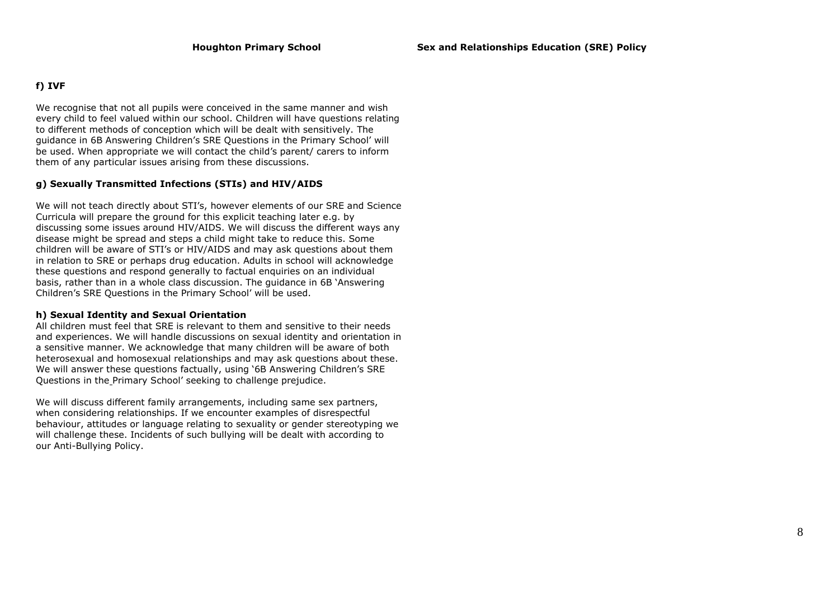#### **f) IVF**

We recognise that not all pupils were conceived in the same manner and wish every child to feel valued within our school. Children will have questions relating to different methods of conception which will be dealt with sensitively. The guidance in 6B Answering Children's SRE Questions in the Primary School' will be used. When appropriate we will contact the child's parent/ carers to inform them of any particular issues arising from these discussions.

#### **g) Sexually Transmitted Infections (STIs) and HIV/AIDS**

We will not teach directly about STI's, however elements of our SRE and Science Curricula will prepare the ground for this explicit teaching later e.g. by discussing some issues around HIV/AIDS. We will discuss the different ways any disease might be spread and steps a child might take to reduce this. Some children will be aware of STI's or HIV/AIDS and may ask questions about them in relation to SRE or perhaps drug education. Adults in school will acknowledge these questions and respond generally to factual enquiries on an individual basis, rather than in a whole class discussion. The guidance in 6B 'Answering Children's SRE Questions in the Primary School' will be used.

#### **h) Sexual Identity and Sexual Orientation**

All children must feel that SRE is relevant to them and sensitive to their needs and experiences. We will handle discussions on sexual identity and orientation in a sensitive manner. We acknowledge that many children will be aware of both heterosexual and homosexual relationships and may ask questions about these. We will answer these questions factually, using ['6B Answering Children's SRE](http://www.cambridgeshirepshe.org.uk/SRE/6BAnsweringSREQuestionsPrimary.pdf)  [Questions in the](http://www.cambridgeshirepshe.org.uk/SRE/6BAnsweringSREQuestionsPrimary.pdf) Primary School' seeking to challenge prejudice.

We will discuss different family arrangements, including same sex partners, when considering relationships. If we encounter examples of disrespectful behaviour, attitudes or language relating to sexuality or gender stereotyping we will challenge these. Incidents of such bullying will be dealt with according to our Anti-Bullying Policy.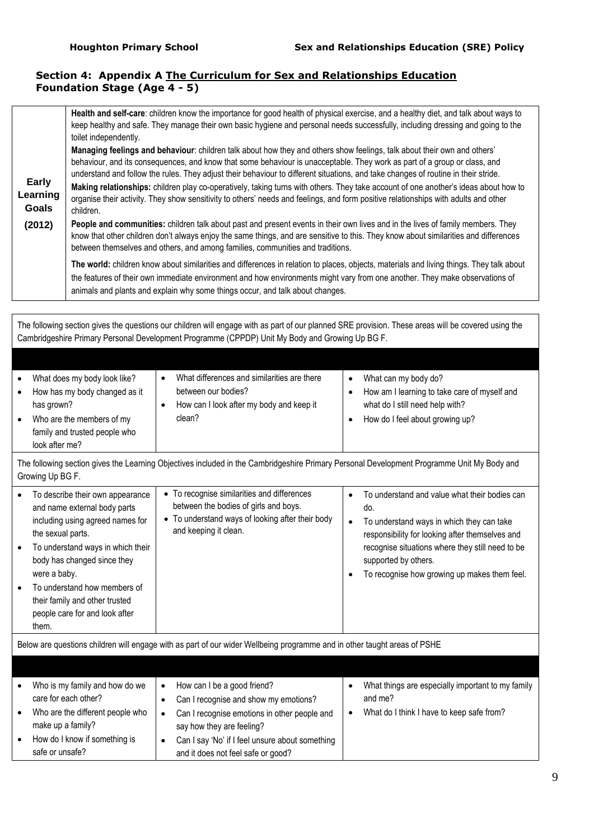# **Section 4: Appendix A The Curriculum for Sex and Relationships Education Foundation Stage (Age 4 - 5)**

|                            | Health and self-care: children know the importance for good health of physical exercise, and a healthy diet, and talk about ways to<br>keep healthy and safe. They manage their own basic hygiene and personal needs successfully, including dressing and going to the<br>toilet independently.                                                                                                                                                                                                                                                                                                                                                                                        |
|----------------------------|----------------------------------------------------------------------------------------------------------------------------------------------------------------------------------------------------------------------------------------------------------------------------------------------------------------------------------------------------------------------------------------------------------------------------------------------------------------------------------------------------------------------------------------------------------------------------------------------------------------------------------------------------------------------------------------|
| Early<br>Learning<br>Goals | Managing feelings and behaviour: children talk about how they and others show feelings, talk about their own and others'<br>behaviour, and its consequences, and know that some behaviour is unacceptable. They work as part of a group or class, and<br>understand and follow the rules. They adjust their behaviour to different situations, and take changes of routine in their stride.<br>Making relationships: children play co-operatively, taking turns with others. They take account of one another's ideas about how to<br>organise their activity. They show sensitivity to others' needs and feelings, and form positive relationships with adults and other<br>children. |
| (2012)                     | People and communities: children talk about past and present events in their own lives and in the lives of family members. They<br>know that other children don't always enjoy the same things, and are sensitive to this. They know about similarities and differences<br>between themselves and others, and among families, communities and traditions.                                                                                                                                                                                                                                                                                                                              |
|                            | The world: children know about similarities and differences in relation to places, objects, materials and living things. They talk about<br>the features of their own immediate environment and how environments might vary from one another. They make observations of<br>animals and plants and explain why some things occur, and talk about changes.                                                                                                                                                                                                                                                                                                                               |

The following section gives the questions our children will engage with as part of our planned SRE provision. These areas will be covered using the Cambridgeshire Primary Personal Development Programme (CPPDP) Unit My Body and Growing Up BG F.

| What does my body look like?<br>How has my body changed as it<br>has grown?  | What differences and similarities are there<br>between our bodies?<br>How can I look after my body and keep it | What can my body do?<br>How am I learning to take care of myself and<br>what do I still need help with? |
|------------------------------------------------------------------------------|----------------------------------------------------------------------------------------------------------------|---------------------------------------------------------------------------------------------------------|
| Who are the members of my<br>family and trusted people who<br>look after me? | clean?                                                                                                         | How do I feel about growing up?                                                                         |

The following section gives the Learning Objectives included in the Cambridgeshire Primary Personal Development Programme Unit My Body and Growing Up BG F.

| To describe their own appearance<br>and name external body parts<br>including using agreed names for<br>the sexual parts.<br>To understand ways in which their<br>body has changed since they<br>were a baby. | • To recognise similarities and differences<br>between the bodies of girls and boys.<br>• To understand ways of looking after their body<br>and keeping it clean. | ٠<br>٠<br>٠ | To understand and value what their bodies can<br>do.<br>To understand ways in which they can take<br>responsibility for looking after themselves and<br>recognise situations where they still need to be<br>supported by others.<br>To recognise how growing up makes them feel. |
|---------------------------------------------------------------------------------------------------------------------------------------------------------------------------------------------------------------|-------------------------------------------------------------------------------------------------------------------------------------------------------------------|-------------|----------------------------------------------------------------------------------------------------------------------------------------------------------------------------------------------------------------------------------------------------------------------------------|
| To understand how members of<br>their family and other trusted<br>people care for and look after<br>them.                                                                                                     |                                                                                                                                                                   |             |                                                                                                                                                                                                                                                                                  |

Below are questions children will engage with as part of our wider Wellbeing programme and in other taught areas of PSHE

| $\bullet$ | Who is my family and how do we   | How can I be a good friend?                     | What things are especially important to my family |
|-----------|----------------------------------|-------------------------------------------------|---------------------------------------------------|
|           | care for each other?             | Can I recognise and show my emotions?           | and me?                                           |
| $\bullet$ | Who are the different people who | Can I recognise emotions in other people and    | What do I think I have to keep safe from?         |
|           | make up a family?                | say how they are feeling?                       |                                                   |
| $\bullet$ | How do I know if something is    | Can I say 'No' if I feel unsure about something |                                                   |
|           | safe or unsafe?                  | and it does not feel safe or good?              |                                                   |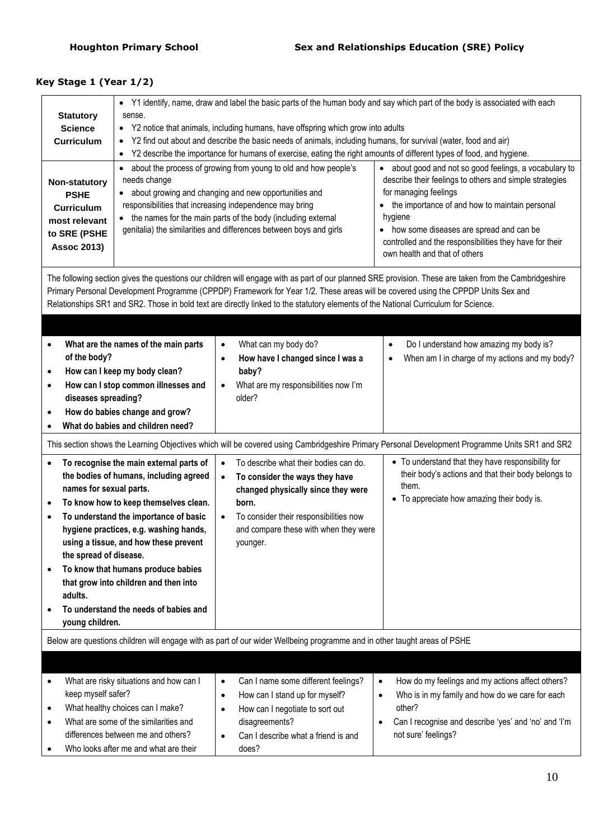# **Key Stage 1 (Year 1/2)**

| <b>Statutory</b><br><b>Science</b><br><b>Curriculum</b><br>Non-statutory<br><b>PSHE</b><br><b>Curriculum</b><br>most relevant<br>to SRE (PSHE<br><b>Assoc 2013)</b> | • Y1 identify, name, draw and label the basic parts of the human body and say which part of the body is associated with each<br>sense.<br>Y2 notice that animals, including humans, have offspring which grow into adults<br>$\bullet$<br>Y2 find out about and describe the basic needs of animals, including humans, for survival (water, food and air)<br>Y2 describe the importance for humans of exercise, eating the right amounts of different types of food, and hygiene.<br>$\bullet$<br>about the process of growing from young to old and how people's<br>• about good and not so good feelings, a vocabulary to<br>$\bullet$<br>describe their feelings to others and simple strategies<br>needs change<br>for managing feelings<br>about growing and changing and new opportunities and<br>responsibilities that increasing independence may bring<br>the importance of and how to maintain personal<br>the names for the main parts of the body (including external<br>hygiene<br>$\bullet$<br>genitalia) the similarities and differences between boys and girls<br>• how some diseases are spread and can be<br>controlled and the responsibilities they have for their<br>own health and that of others |                                                                                                                                                                                                                                                 |                                                                                                                                                                                                                        |  |  |
|---------------------------------------------------------------------------------------------------------------------------------------------------------------------|--------------------------------------------------------------------------------------------------------------------------------------------------------------------------------------------------------------------------------------------------------------------------------------------------------------------------------------------------------------------------------------------------------------------------------------------------------------------------------------------------------------------------------------------------------------------------------------------------------------------------------------------------------------------------------------------------------------------------------------------------------------------------------------------------------------------------------------------------------------------------------------------------------------------------------------------------------------------------------------------------------------------------------------------------------------------------------------------------------------------------------------------------------------------------------------------------------------------------|-------------------------------------------------------------------------------------------------------------------------------------------------------------------------------------------------------------------------------------------------|------------------------------------------------------------------------------------------------------------------------------------------------------------------------------------------------------------------------|--|--|
|                                                                                                                                                                     | The following section gives the questions our children will engage with as part of our planned SRE provision. These are taken from the Cambridgeshire<br>Primary Personal Development Programme (CPPDP) Framework for Year 1/2. These areas will be covered using the CPPDP Units Sex and<br>Relationships SR1 and SR2. Those in bold text are directly linked to the statutory elements of the National Curriculum for Science.                                                                                                                                                                                                                                                                                                                                                                                                                                                                                                                                                                                                                                                                                                                                                                                         |                                                                                                                                                                                                                                                 |                                                                                                                                                                                                                        |  |  |
| $\bullet$<br>of the body?<br>$\bullet$<br>$\bullet$<br>diseases spreading?<br>$\bullet$                                                                             | What are the names of the main parts<br>How can I keep my body clean?<br>How can I stop common illnesses and<br>How do babies change and grow?<br>What do babies and children need?                                                                                                                                                                                                                                                                                                                                                                                                                                                                                                                                                                                                                                                                                                                                                                                                                                                                                                                                                                                                                                      | What can my body do?<br>$\bullet$<br>How have I changed since I was a<br>$\bullet$<br>baby?<br>What are my responsibilities now I'm<br>$\bullet$<br>older?                                                                                      | Do I understand how amazing my body is?<br>$\bullet$<br>When am I in charge of my actions and my body?<br>$\bullet$                                                                                                    |  |  |
|                                                                                                                                                                     |                                                                                                                                                                                                                                                                                                                                                                                                                                                                                                                                                                                                                                                                                                                                                                                                                                                                                                                                                                                                                                                                                                                                                                                                                          |                                                                                                                                                                                                                                                 | This section shows the Learning Objectives which will be covered using Cambridgeshire Primary Personal Development Programme Units SR1 and SR2                                                                         |  |  |
| $\bullet$<br>names for sexual parts.<br>$\bullet$<br>$\bullet$<br>the spread of disease.<br>$\bullet$<br>adults.<br>young children.                                 | To recognise the main external parts of<br>the bodies of humans, including agreed<br>To know how to keep themselves clean.<br>To understand the importance of basic<br>hygiene practices, e.g. washing hands,<br>using a tissue, and how these prevent<br>To know that humans produce babies<br>that grow into children and then into<br>To understand the needs of babies and                                                                                                                                                                                                                                                                                                                                                                                                                                                                                                                                                                                                                                                                                                                                                                                                                                           | To describe what their bodies can do.<br>$\bullet$<br>To consider the ways they have<br>$\bullet$<br>changed physically since they were<br>born.<br>To consider their responsibilities now<br>and compare these with when they were<br>younger. | • To understand that they have responsibility for<br>their body's actions and that their body belongs to<br>them.<br>• To appreciate how amazing their body is.                                                        |  |  |
| Below are questions children will engage with as part of our wider Wellbeing programme and in other taught areas of PSHE                                            |                                                                                                                                                                                                                                                                                                                                                                                                                                                                                                                                                                                                                                                                                                                                                                                                                                                                                                                                                                                                                                                                                                                                                                                                                          |                                                                                                                                                                                                                                                 |                                                                                                                                                                                                                        |  |  |
|                                                                                                                                                                     |                                                                                                                                                                                                                                                                                                                                                                                                                                                                                                                                                                                                                                                                                                                                                                                                                                                                                                                                                                                                                                                                                                                                                                                                                          |                                                                                                                                                                                                                                                 |                                                                                                                                                                                                                        |  |  |
| $\bullet$<br>keep myself safer?<br>$\bullet$<br>$\bullet$<br>$\bullet$                                                                                              | What are risky situations and how can I<br>What healthy choices can I make?<br>What are some of the similarities and<br>differences between me and others?<br>Who looks after me and what are their                                                                                                                                                                                                                                                                                                                                                                                                                                                                                                                                                                                                                                                                                                                                                                                                                                                                                                                                                                                                                      | Can I name some different feelings?<br>$\bullet$<br>How can I stand up for myself?<br>$\bullet$<br>How can I negotiate to sort out<br>$\bullet$<br>disagreements?<br>Can I describe what a friend is and<br>does?                               | How do my feelings and my actions affect others?<br>$\bullet$<br>Who is in my family and how do we care for each<br>$\bullet$<br>other?<br>Can I recognise and describe 'yes' and 'no' and 'I'm<br>not sure' feelings? |  |  |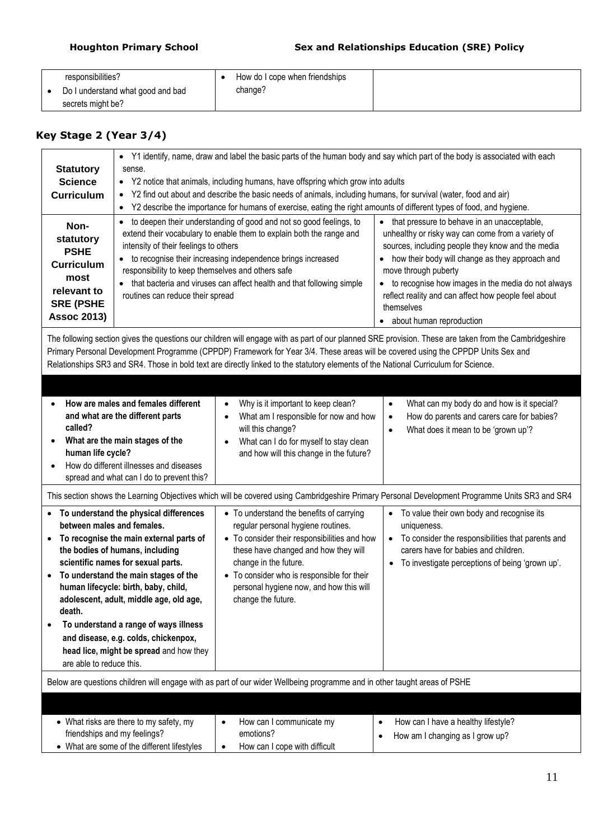| responsibilities?                 | How do I cope when friendships |
|-----------------------------------|--------------------------------|
| Do I understand what good and bad | change?                        |
| secrets might be?                 |                                |

# **Key Stage 2 (Year 3/4)**

| <b>Statutory</b><br><b>Science</b><br><b>Curriculum</b><br>Non-                                                                                                                                                                                                                                                                                                                                                                                                                                                              | • Y1 identify, name, draw and label the basic parts of the human body and say which part of the body is associated with each<br>sense.<br>• Y2 notice that animals, including humans, have offspring which grow into adults<br>Y2 find out about and describe the basic needs of animals, including humans, for survival (water, food and air)<br>$\bullet$<br>Y2 describe the importance for humans of exercise, eating the right amounts of different types of food, and hygiene.<br>٠<br>to deepen their understanding of good and not so good feelings, to<br>• that pressure to behave in an unacceptable,<br>$\bullet$ |                                                                                                                                                                                                                                                                                                                |                                                                                                                                                                                                                                                                                                                                                                             |  |  |
|------------------------------------------------------------------------------------------------------------------------------------------------------------------------------------------------------------------------------------------------------------------------------------------------------------------------------------------------------------------------------------------------------------------------------------------------------------------------------------------------------------------------------|------------------------------------------------------------------------------------------------------------------------------------------------------------------------------------------------------------------------------------------------------------------------------------------------------------------------------------------------------------------------------------------------------------------------------------------------------------------------------------------------------------------------------------------------------------------------------------------------------------------------------|----------------------------------------------------------------------------------------------------------------------------------------------------------------------------------------------------------------------------------------------------------------------------------------------------------------|-----------------------------------------------------------------------------------------------------------------------------------------------------------------------------------------------------------------------------------------------------------------------------------------------------------------------------------------------------------------------------|--|--|
| extend their vocabulary to enable them to explain both the range and<br>statutory<br>intensity of their feelings to others<br><b>PSHE</b><br>• to recognise their increasing independence brings increased<br><b>Curriculum</b><br>responsibility to keep themselves and others safe<br>most<br>• that bacteria and viruses can affect health and that following simple<br>relevant to<br>routines can reduce their spread<br><b>SRE (PSHE</b><br><b>Assoc 2013)</b>                                                         |                                                                                                                                                                                                                                                                                                                                                                                                                                                                                                                                                                                                                              |                                                                                                                                                                                                                                                                                                                | unhealthy or risky way can come from a variety of<br>sources, including people they know and the media<br>how their body will change as they approach and<br>move through puberty<br>to recognise how images in the media do not always<br>reflect reality and can affect how people feel about<br>themselves<br>about human reproduction                                   |  |  |
|                                                                                                                                                                                                                                                                                                                                                                                                                                                                                                                              |                                                                                                                                                                                                                                                                                                                                                                                                                                                                                                                                                                                                                              | Primary Personal Development Programme (CPPDP) Framework for Year 3/4. These areas will be covered using the CPPDP Units Sex and<br>Relationships SR3 and SR4. Those in bold text are directly linked to the statutory elements of the National Curriculum for Science.                                        | The following section gives the questions our children will engage with as part of our planned SRE provision. These are taken from the Cambridgeshire                                                                                                                                                                                                                       |  |  |
| How are males and females different<br>Why is it important to keep clean?<br>$\bullet$<br>$\bullet$<br>and what are the different parts<br>What am I responsible for now and how<br>$\bullet$<br>called?<br>will this change?<br>What does it mean to be 'grown up'?<br>$\bullet$<br>What are the main stages of the<br>What can I do for myself to stay clean<br>human life cycle?<br>and how will this change in the future?<br>How do different illnesses and diseases<br>spread and what can I do to prevent this?       |                                                                                                                                                                                                                                                                                                                                                                                                                                                                                                                                                                                                                              |                                                                                                                                                                                                                                                                                                                | What can my body do and how is it special?<br>How do parents and carers care for babies?                                                                                                                                                                                                                                                                                    |  |  |
| To understand the physical differences<br>between males and females.<br>To recognise the main external parts of<br>$\bullet$<br>the bodies of humans, including<br>scientific names for sexual parts.<br>To understand the main stages of the<br>$\bullet$<br>human lifecycle: birth, baby, child,<br>adolescent, adult, middle age, old age,<br>death.<br>To understand a range of ways illness<br>$\bullet$<br>and disease, e.g. colds, chickenpox,<br>head lice, might be spread and how they<br>are able to reduce this. |                                                                                                                                                                                                                                                                                                                                                                                                                                                                                                                                                                                                                              | • To understand the benefits of carrying<br>regular personal hygiene routines.<br>• To consider their responsibilities and how<br>these have changed and how they will<br>change in the future.<br>• To consider who is responsible for their<br>personal hygiene now, and how this will<br>change the future. | This section shows the Learning Objectives which will be covered using Cambridgeshire Primary Personal Development Programme Units SR3 and SR4<br>To value their own body and recognise its<br>$\bullet$<br>uniqueness.<br>• To consider the responsibilities that parents and<br>carers have for babies and children.<br>• To investigate perceptions of being 'grown up'. |  |  |
| Below are questions children will engage with as part of our wider Wellbeing programme and in other taught areas of PSHE                                                                                                                                                                                                                                                                                                                                                                                                     |                                                                                                                                                                                                                                                                                                                                                                                                                                                                                                                                                                                                                              |                                                                                                                                                                                                                                                                                                                |                                                                                                                                                                                                                                                                                                                                                                             |  |  |
|                                                                                                                                                                                                                                                                                                                                                                                                                                                                                                                              | • What risks are there to my safety, my<br>friendships and my feelings?<br>• What are some of the different lifestyles                                                                                                                                                                                                                                                                                                                                                                                                                                                                                                       | How can I communicate my<br>$\bullet$<br>emotions?<br>How can I cope with difficult<br>$\bullet$                                                                                                                                                                                                               | How can I have a healthy lifestyle?<br>$\bullet$<br>How am I changing as I grow up?<br>٠                                                                                                                                                                                                                                                                                    |  |  |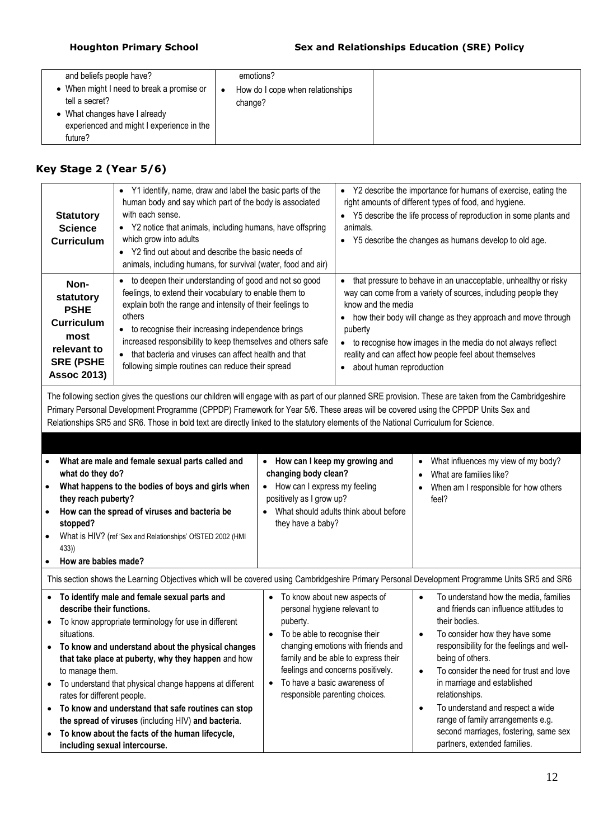| and beliefs people have?<br>• When might I need to break a promise or<br>tell a secret?<br>• What changes have I already<br>experienced and might I experience in the<br>future? |
|----------------------------------------------------------------------------------------------------------------------------------------------------------------------------------|
|----------------------------------------------------------------------------------------------------------------------------------------------------------------------------------|

# **Key Stage 2 (Year 5/6)**

| <b>Statutory</b><br><b>Science</b><br><b>Curriculum</b>                                                                | • Y1 identify, name, draw and label the basic parts of the<br>human body and say which part of the body is associated<br>with each sense.<br>• Y2 notice that animals, including humans, have offspring<br>which grow into adults<br>• Y2 find out about and describe the basic needs of<br>animals, including humans, for survival (water, food and air)                                                                                 | • Y2 describe the importance for humans of exercise, eating the<br>right amounts of different types of food, and hygiene.<br>• Y5 describe the life process of reproduction in some plants and<br>animals.<br>• Y5 describe the changes as humans develop to old age.                                                                                                                       |
|------------------------------------------------------------------------------------------------------------------------|-------------------------------------------------------------------------------------------------------------------------------------------------------------------------------------------------------------------------------------------------------------------------------------------------------------------------------------------------------------------------------------------------------------------------------------------|---------------------------------------------------------------------------------------------------------------------------------------------------------------------------------------------------------------------------------------------------------------------------------------------------------------------------------------------------------------------------------------------|
| Non-<br>statutory<br><b>PSHE</b><br><b>Curriculum</b><br>most<br>relevant to<br><b>SRE (PSHE</b><br><b>Assoc 2013)</b> | to deepen their understanding of good and not so good<br>٠<br>feelings, to extend their vocabulary to enable them to<br>explain both the range and intensity of their feelings to<br>others<br>to recognise their increasing independence brings<br>increased responsibility to keep themselves and others safe<br>that bacteria and viruses can affect health and that<br>$\bullet$<br>following simple routines can reduce their spread | • that pressure to behave in an unacceptable, unhealthy or risky<br>way can come from a variety of sources, including people they<br>know and the media<br>how their body will change as they approach and move through<br>puberty<br>• to recognise how images in the media do not always reflect<br>reality and can affect how people feel about themselves<br>• about human reproduction |

The following section gives the questions our children will engage with as part of our planned SRE provision. These are taken from the Cambridgeshire Primary Personal Development Programme (CPPDP) Framework for Year 5/6. These areas will be covered using the CPPDP Units Sex and Relationships SR5 and SR6. Those in bold text are directly linked to the statutory elements of the National Curriculum for Science.

| What are male and female sexual parts called and<br>what do they do?<br>What happens to the bodies of boys and girls when<br>$\bullet$<br>they reach puberty?<br>How can the spread of viruses and bacteria be<br>$\bullet$<br>stopped?<br>What is HIV? (ref 'Sex and Relationships' OfSTED 2002 (HMI<br>433)<br>How are babies made?                                                                                                                                                                                                                                                   | • How can I keep my growing and<br>changing body clean?<br>How can I express my feeling<br>positively as I grow up?<br>What should adults think about before<br>they have a baby?                                                                                                             | What influences my view of my body?<br>٠<br>What are families like?<br>$\bullet$<br>When am I responsible for how others<br>feel?                                                                                                                                                                                                                                                                                                                                           |
|-----------------------------------------------------------------------------------------------------------------------------------------------------------------------------------------------------------------------------------------------------------------------------------------------------------------------------------------------------------------------------------------------------------------------------------------------------------------------------------------------------------------------------------------------------------------------------------------|-----------------------------------------------------------------------------------------------------------------------------------------------------------------------------------------------------------------------------------------------------------------------------------------------|-----------------------------------------------------------------------------------------------------------------------------------------------------------------------------------------------------------------------------------------------------------------------------------------------------------------------------------------------------------------------------------------------------------------------------------------------------------------------------|
| This section shows the Learning Objectives which will be covered using Cambridgeshire Primary Personal Development Programme Units SR5 and SR6                                                                                                                                                                                                                                                                                                                                                                                                                                          |                                                                                                                                                                                                                                                                                               |                                                                                                                                                                                                                                                                                                                                                                                                                                                                             |
| To identify male and female sexual parts and<br>describe their functions.<br>To know appropriate terminology for use in different<br>situations.<br>To know and understand about the physical changes<br>that take place at puberty, why they happen and how<br>to manage them.<br>To understand that physical change happens at different<br>rates for different people.<br>To know and understand that safe routines can stop<br>$\bullet$<br>the spread of viruses (including HIV) and bacteria.<br>To know about the facts of the human lifecycle,<br>including sexual intercourse. | To know about new aspects of<br>personal hygiene relevant to<br>puberty.<br>To be able to recognise their<br>changing emotions with friends and<br>family and be able to express their<br>feelings and concerns positively.<br>To have a basic awareness of<br>responsible parenting choices. | To understand how the media, families<br>$\bullet$<br>and friends can influence attitudes to<br>their bodies.<br>To consider how they have some<br>responsibility for the feelings and well-<br>being of others.<br>To consider the need for trust and love<br>$\bullet$<br>in marriage and established<br>relationships.<br>To understand and respect a wide<br>range of family arrangements e.g.<br>second marriages, fostering, same sex<br>partners, extended families. |